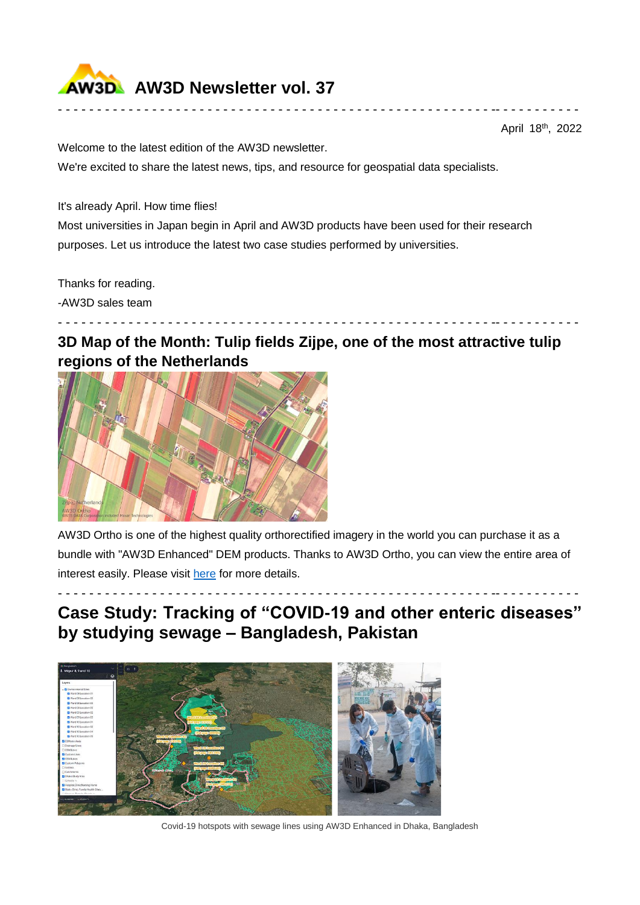

April 18<sup>th</sup>, 2022

Welcome to the latest edition of the AW3D newsletter.

We're excited to share the latest news, tips, and resource for geospatial data specialists.

It's already April. How time flies!

Most universities in Japan begin in April and AW3D products have been used for their research purposes. Let us introduce the latest two case studies performed by universities.

- - - - - - - - - - - - - - - - - - - - - - - - - - - - - - - - - - - - - - - - - - - - - - - - - - - - - - - -- - - - - - - - - - -

Thanks for reading.

-AW3D sales team

## **3D Map of the Month: Tulip fields Zijpe, one of the most attractive tulip regions of the Netherlands**

- - - - - - - - - - - - - - - - - - - - - - - - - - - - - - - - - - - - - - - - - - - - - - - - - - - - - - - -- - - - - - - - - - -



AW3D Ortho is one of the highest quality orthorectified imagery in the world you can purchase it as a bundle with "AW3D Enhanced" DEM products. Thanks to AW3D Ortho, you can view the entire area of interest easily. Please visit [here](https://www.aw3d.jp/en/products/ortho/) for more details.

**Case Study: Tracking of "COVID-19 and other enteric diseases" by studying sewage – Bangladesh, Pakistan**

- - - - - - - - - - - - - - - - - - - - - - - - - - - - - - - - - - - - - - - - - - - - - - - - - - - - - - - -- - - - - - - - - - -



Covid-19 hotspots with sewage lines using AW3D Enhanced in Dhaka, Bangladesh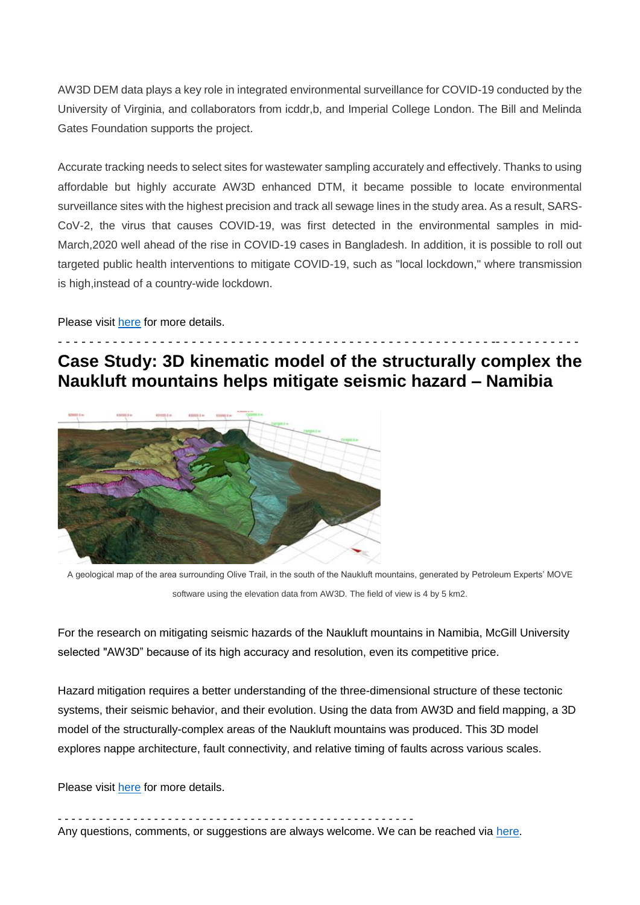AW3D DEM data plays a key role in integrated environmental surveillance for COVID-19 conducted by the University of Virginia, and collaborators from icddr,b, and Imperial College London. The Bill and Melinda Gates Foundation supports the project.

Accurate tracking needs to select sites for wastewater sampling accurately and effectively. Thanks to using affordable but highly accurate AW3D enhanced DTM, it became possible to locate environmental surveillance sites with the highest precision and track all sewage lines in the study area. As a result, SARS-CoV-2, the virus that causes COVID-19, was first detected in the environmental samples in mid-March,2020 well ahead of the rise in COVID-19 cases in Bangladesh. In addition, it is possible to roll out targeted public health interventions to mitigate COVID-19, such as "local lockdown," where transmission is high,instead of a country-wide lockdown.

Please visit here for more details.

## **Case Study: 3D kinematic model of the structurally complex the Naukluft mountains helps mitigate seismic hazard – Namibia**

- - - - - - - - - - - - - - - - - - - - - - - - - - - - - - - - - - - - - - - - - - - - - - - - - - - - - - - -- - - - - - - - - - -



A geological map of the area surrounding Olive Trail, in the south of the Naukluft mountains, generated by Petroleum Experts' MOVE software using the elevation data from AW3D. The field of view is 4 by 5 km2.

For the research on mitigating seismic hazards of the Naukluft mountains in Namibia, McGill University selected "AW3D" because of its high accuracy and resolution, even its competitive price.

Hazard mitigation requires a better understanding of the three-dimensional structure of these tectonic systems, their seismic behavior, and their evolution. Using the data from AW3D and field mapping, a 3D model of the structurally-complex areas of the Naukluft mountains was produced. This 3D model explores nappe architecture, fault connectivity, and relative timing of faults across various scales.

Please visit [here](https://www.aw3d.jp/en/casestudy/3d-kinematic-model-of-the-structurally-complex-naukluft-mountains-helps-mitigate-seismic-hazard/) for more details.

- - - - - - - - - - - - - - - - - - - - - - - - - - - - - - - - - - - - - - - - - - - - - - - - - - - -

Any questions, comments, or suggestions are always welcome. We can be reached via [here.](https://urldefense.com/v3/__https:/www.aw3d.jp/en/contactform/__;!!GCTRfqYYOYGmgK_z!v224ZpyHLaQq8ZzCO9dUfJExFOlfncdeZQJBxXb1szBaHRwr1_-qWkvhpSIpIh9KJMobjw$)